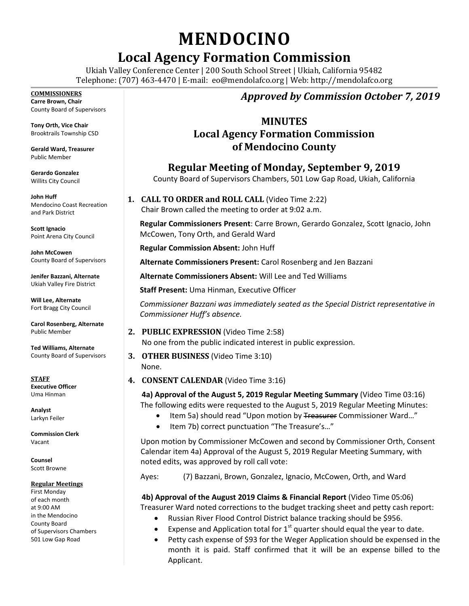# **MENDOCINO**

# **Local Agency Formation Commission**

Ukiah Valley Conference Center | 200 South School Street | Ukiah, California 95482 Telephone: (707) 463-4470 | E-mail: [eo@mendolafco.org](mailto:eo@mendolafco.org) | Web: http://mendolafco.org

#### **COMMISSIONERS**

**Carre Brown, Chair** County Board of Supervisors

**Tony Orth, Vice Chair** Brooktrails Township CSD

**Gerald Ward, Treasurer** Public Member

**Gerardo Gonzalez** Willits City Council

**John Huff**  Mendocino Coast Recreation and Park District

**Scott Ignacio** Point Arena City Council

**John McCowen** County Board of Supervisors

**Jenifer Bazzani, Alternate** Ukiah Valley Fire District

**Will Lee, Alternate** Fort Bragg City Council

**Carol Rosenberg, Alternate** Public Member

**Ted Williams, Alternate** County Board of Supervisors

**STAFF Executive Officer** Uma Hinman

**Analyst** Larkyn Feiler

**Commission Clerk** Vacant

**Counsel** Scott Browne

#### **Regular Meetings**

First Monday of each month at 9:00 AM in the Mendocino County Board of Supervisors Chambers 501 Low Gap Road

## *Approved by Commission October 7, 2019*

### **MINUTES Local Agency Formation Commission of Mendocino County**

**Regular Meeting of Monday, September 9, 2019**

County Board of Supervisors Chambers, 501 Low Gap Road, Ukiah, California

**1. CALL TO ORDER and ROLL CALL** (Video Time 2:22) Chair Brown called the meeting to order at 9:02 a.m.

**Regular Commissioners Present**: Carre Brown, Gerardo Gonzalez, Scott Ignacio, John McCowen, Tony Orth, and Gerald Ward

**Regular Commission Absent:** John Huff

**Alternate Commissioners Present:** Carol Rosenberg and Jen Bazzani

**Alternate Commissioners Absent:** Will Lee and Ted Williams

**Staff Present:** Uma Hinman, Executive Officer

*Commissioner Bazzani was immediately seated as the Special District representative in Commissioner Huff's absence.*

- **2. PUBLIC EXPRESSION** (Video Time 2:58) No one from the public indicated interest in public expression.
- **3. OTHER BUSINESS** (Video Time 3:10) None.
- **4. CONSENT CALENDAR** (Video Time 3:16)

**4a) Approval of the August 5, 2019 Regular Meeting Summary** (Video Time 03:16) The following edits were requested to the August 5, 2019 Regular Meeting Minutes:

- Item 5a) should read "Upon motion by Treasurer Commissioner Ward..."
- Item 7b) correct punctuation "The Treasure's..."

Upon motion by Commissioner McCowen and second by Commissioner Orth, Consent Calendar item 4a) Approval of the August 5, 2019 Regular Meeting Summary, with noted edits, was approved by roll call vote:

Ayes: (7) Bazzani, Brown, Gonzalez, Ignacio, McCowen, Orth, and Ward

**4b) Approval of the August 2019 Claims & Financial Report** (Video Time 05:06) Treasurer Ward noted corrections to the budget tracking sheet and petty cash report:

- Russian River Flood Control District balance tracking should be \$956.
- Expense and Application total for  $1<sup>st</sup>$  quarter should equal the year to date.
- Petty cash expense of \$93 for the Weger Application should be expensed in the month it is paid. Staff confirmed that it will be an expense billed to the Applicant.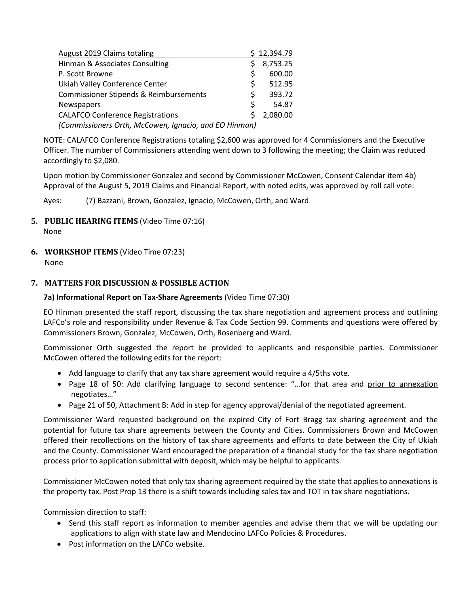| August 2019 Claims totaling                           |   | \$12,394.79 |
|-------------------------------------------------------|---|-------------|
| Hinman & Associates Consulting                        |   | 8,753.25    |
| P. Scott Browne                                       | Ś | 600.00      |
| Ukiah Valley Conference Center                        | Ś | 512.95      |
| Commissioner Stipends & Reimbursements                | Ś | 393.72      |
| Newspapers                                            | Ś | 54.87       |
| <b>CALAFCO Conference Registrations</b>               |   | 2,080.00    |
| (Commissioners Orth, McCowen, Ignacio, and EO Hinman) |   |             |

NOTE: CALAFCO Conference Registrations totaling \$2,600 was approved for 4 Commissioners and the Executive Officer. The number of Commissioners attending went down to 3 following the meeting; the Claim was reduced accordingly to \$2,080.

Upon motion by Commissioner Gonzalez and second by Commissioner McCowen, Consent Calendar item 4b) Approval of the August 5, 2019 Claims and Financial Report, with noted edits, was approved by roll call vote:

Ayes: (7) Bazzani, Brown, Gonzalez, Ignacio, McCowen, Orth, and Ward

- **5. PUBLIC HEARING ITEMS** (Video Time 07:16) None
- **6. WORKSHOP ITEMS** (Video Time 07:23)
	- None

#### **7. MATTERS FOR DISCUSSION & POSSIBLE ACTION**

#### **7a) Informational Report on Tax-Share Agreements** (Video Time 07:30)

EO Hinman presented the staff report, discussing the tax share negotiation and agreement process and outlining LAFCo's role and responsibility under Revenue & Tax Code Section 99. Comments and questions were offered by Commissioners Brown, Gonzalez, McCowen, Orth, Rosenberg and Ward.

Commissioner Orth suggested the report be provided to applicants and responsible parties. Commissioner McCowen offered the following edits for the report:

- Add language to clarify that any tax share agreement would require a 4/5ths vote.
- Page 18 of 50: Add clarifying language to second sentence: "...for that area and prior to annexation negotiates…"
- Page 21 of 50, Attachment B: Add in step for agency approval/denial of the negotiated agreement.

Commissioner Ward requested background on the expired City of Fort Bragg tax sharing agreement and the potential for future tax share agreements between the County and Cities. Commissioners Brown and McCowen offered their recollections on the history of tax share agreements and efforts to date between the City of Ukiah and the County. Commissioner Ward encouraged the preparation of a financial study for the tax share negotiation process prior to application submittal with deposit, which may be helpful to applicants.

Commissioner McCowen noted that only tax sharing agreement required by the state that applies to annexations is the property tax. Post Prop 13 there is a shift towards including sales tax and TOT in tax share negotiations.

Commission direction to staff:

- Send this staff report as information to member agencies and advise them that we will be updating our applications to align with state law and Mendocino LAFCo Policies & Procedures.
- Post information on the LAFCo website.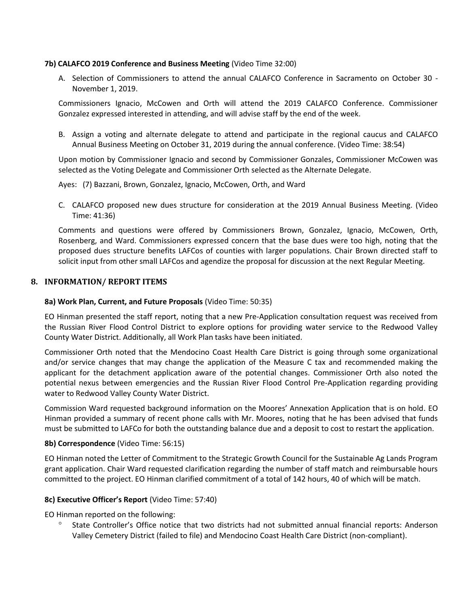#### **7b) CALAFCO 2019 Conference and Business Meeting** (Video Time 32:00)

A. Selection of Commissioners to attend the annual CALAFCO Conference in Sacramento on October 30 - November 1, 2019.

Commissioners Ignacio, McCowen and Orth will attend the 2019 CALAFCO Conference. Commissioner Gonzalez expressed interested in attending, and will advise staff by the end of the week.

B. Assign a voting and alternate delegate to attend and participate in the regional caucus and CALAFCO Annual Business Meeting on October 31, 2019 during the annual conference. (Video Time: 38:54)

Upon motion by Commissioner Ignacio and second by Commissioner Gonzales, Commissioner McCowen was selected as the Voting Delegate and Commissioner Orth selected as the Alternate Delegate.

Ayes: (7) Bazzani, Brown, Gonzalez, Ignacio, McCowen, Orth, and Ward

C. CALAFCO proposed new dues structure for consideration at the 2019 Annual Business Meeting. (Video Time: 41:36)

Comments and questions were offered by Commissioners Brown, Gonzalez, Ignacio, McCowen, Orth, Rosenberg, and Ward. Commissioners expressed concern that the base dues were too high, noting that the proposed dues structure benefits LAFCos of counties with larger populations. Chair Brown directed staff to solicit input from other small LAFCos and agendize the proposal for discussion at the next Regular Meeting.

#### **8. INFORMATION/ REPORT ITEMS**

#### **8a) Work Plan, Current, and Future Proposals** (Video Time: 50:35)

EO Hinman presented the staff report, noting that a new Pre-Application consultation request was received from the Russian River Flood Control District to explore options for providing water service to the Redwood Valley County Water District. Additionally, all Work Plan tasks have been initiated.

Commissioner Orth noted that the Mendocino Coast Health Care District is going through some organizational and/or service changes that may change the application of the Measure C tax and recommended making the applicant for the detachment application aware of the potential changes. Commissioner Orth also noted the potential nexus between emergencies and the Russian River Flood Control Pre-Application regarding providing water to Redwood Valley County Water District.

Commission Ward requested background information on the Moores' Annexation Application that is on hold. EO Hinman provided a summary of recent phone calls with Mr. Moores, noting that he has been advised that funds must be submitted to LAFCo for both the outstanding balance due and a deposit to cost to restart the application.

#### **8b) Correspondence** (Video Time: 56:15)

EO Hinman noted the Letter of Commitment to the Strategic Growth Council for the Sustainable Ag Lands Program grant application. Chair Ward requested clarification regarding the number of staff match and reimbursable hours committed to the project. EO Hinman clarified commitment of a total of 142 hours, 40 of which will be match.

#### **8c) Executive Officer's Report** (Video Time: 57:40)

EO Hinman reported on the following:

 State Controller's Office notice that two districts had not submitted annual financial reports: Anderson Valley Cemetery District (failed to file) and Mendocino Coast Health Care District (non-compliant).